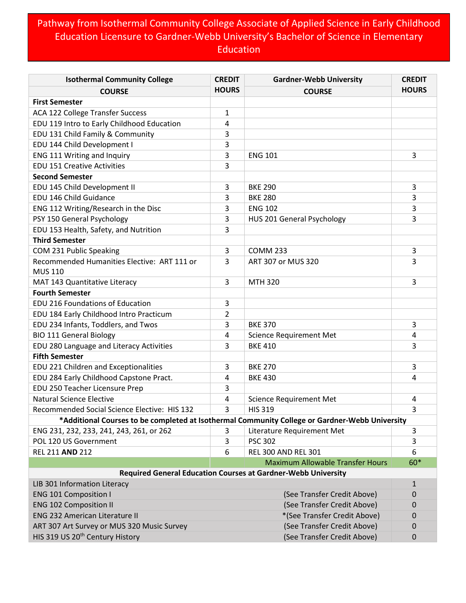## Pathway from Isothermal Community College Associate of Applied Science in Early Childhood Education Licensure to Gardner-Webb University's Bachelor of Science in Elementary Education

| <b>Isothermal Community College</b>                                                            | <b>CREDIT</b> | <b>Gardner-Webb University</b>                                       | <b>CREDIT</b> |
|------------------------------------------------------------------------------------------------|---------------|----------------------------------------------------------------------|---------------|
| <b>COURSE</b>                                                                                  | <b>HOURS</b>  | <b>COURSE</b>                                                        | <b>HOURS</b>  |
| <b>First Semester</b>                                                                          |               |                                                                      |               |
| ACA 122 College Transfer Success                                                               | 1             |                                                                      |               |
| EDU 119 Intro to Early Childhood Education                                                     | 4             |                                                                      |               |
| EDU 131 Child Family & Community                                                               | 3             |                                                                      |               |
| EDU 144 Child Development I                                                                    | 3             |                                                                      |               |
| ENG 111 Writing and Inquiry                                                                    | 3             | <b>ENG 101</b>                                                       | 3             |
| <b>EDU 151 Creative Activities</b>                                                             | 3             |                                                                      |               |
| <b>Second Semester</b>                                                                         |               |                                                                      |               |
| EDU 145 Child Development II                                                                   | 3             | <b>BKE 290</b>                                                       | 3             |
| EDU 146 Child Guidance                                                                         | 3             | <b>BKE 280</b>                                                       | 3             |
| ENG 112 Writing/Research in the Disc                                                           | 3             | <b>ENG 102</b>                                                       | 3             |
| PSY 150 General Psychology                                                                     | 3             | HUS 201 General Psychology                                           | 3             |
| EDU 153 Health, Safety, and Nutrition                                                          | 3             |                                                                      |               |
| <b>Third Semester</b>                                                                          |               |                                                                      |               |
| COM 231 Public Speaking                                                                        | 3             | <b>COMM 233</b>                                                      | 3             |
| Recommended Humanities Elective: ART 111 or                                                    | 3             | ART 307 or MUS 320                                                   | 3             |
| <b>MUS 110</b>                                                                                 |               |                                                                      |               |
| MAT 143 Quantitative Literacy                                                                  | 3             | <b>MTH 320</b>                                                       | 3             |
| <b>Fourth Semester</b>                                                                         |               |                                                                      |               |
| EDU 216 Foundations of Education                                                               | 3             |                                                                      |               |
| EDU 184 Early Childhood Intro Practicum                                                        | 2             |                                                                      |               |
| EDU 234 Infants, Toddlers, and Twos                                                            | 3             | <b>BKE 370</b>                                                       | 3             |
| <b>BIO 111 General Biology</b>                                                                 | 4             | <b>Science Requirement Met</b>                                       | 4             |
| EDU 280 Language and Literacy Activities                                                       | 3             | <b>BKE 410</b>                                                       | 3             |
| <b>Fifth Semester</b>                                                                          |               |                                                                      |               |
| EDU 221 Children and Exceptionalities                                                          | 3             | <b>BKE 270</b>                                                       | 3             |
| EDU 284 Early Childhood Capstone Pract.                                                        | 4             | <b>BKE 430</b>                                                       | 4             |
| EDU 250 Teacher Licensure Prep                                                                 | 3             |                                                                      |               |
| <b>Natural Science Elective</b>                                                                | 4             | <b>Science Requirement Met</b>                                       | 4             |
| Recommended Social Science Elective: HIS 132                                                   | 3             | <b>HIS 319</b>                                                       | 3             |
| *Additional Courses to be completed at Isothermal Community College or Gardner-Webb University |               |                                                                      |               |
| ENG 231, 232, 233, 241, 243, 261, or 262                                                       | 3             | Literature Requirement Met                                           | $\mathbf{3}$  |
| POL 120 US Government                                                                          | 3             | <b>PSC 302</b>                                                       | 3             |
| REL 211 AND 212                                                                                | 6             | <b>REL 300 AND REL 301</b>                                           | 6             |
|                                                                                                |               | <b>Maximum Allowable Transfer Hours</b>                              | 60*           |
|                                                                                                |               | <b>Required General Education Courses at Gardner-Webb University</b> |               |
| LIB 301 Information Literacy                                                                   |               |                                                                      | $\mathbf{1}$  |
| <b>ENG 101 Composition I</b>                                                                   |               | (See Transfer Credit Above)                                          | $\mathbf 0$   |
| <b>ENG 102 Composition II</b>                                                                  |               | (See Transfer Credit Above)                                          | $\mathbf 0$   |
| <b>ENG 232 American Literature II</b>                                                          |               | *(See Transfer Credit Above)                                         | 0             |
| ART 307 Art Survey or MUS 320 Music Survey                                                     |               | (See Transfer Credit Above)                                          | $\mathbf 0$   |
| HIS 319 US 20 <sup>th</sup> Century History                                                    |               | (See Transfer Credit Above)                                          | $\mathbf 0$   |